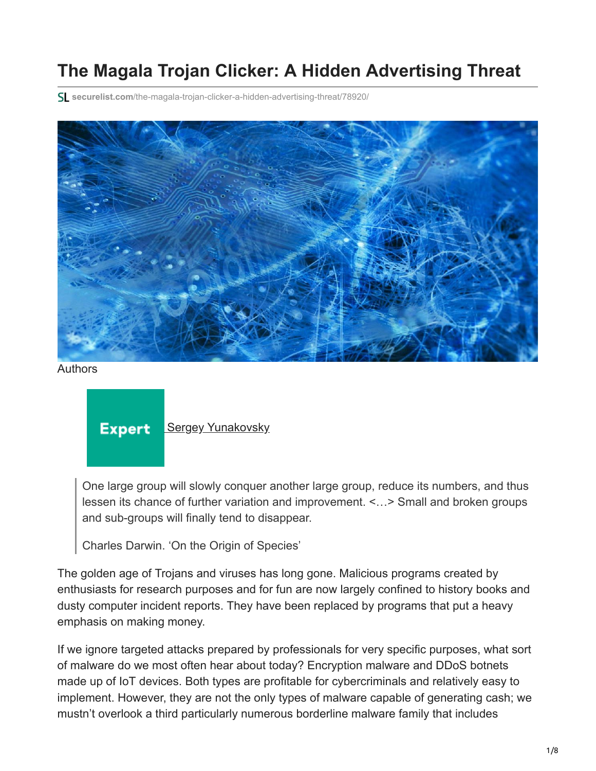# **The Magala Trojan Clicker: A Hidden Advertising Threat**

**securelist.com**[/the-magala-trojan-clicker-a-hidden-advertising-threat/78920/](https://securelist.com/the-magala-trojan-clicker-a-hidden-advertising-threat/78920/)



Authors

**Expert [Sergey Yunakovsky](https://securelist.com/author/sergeyyunakovsky/)** 

One large group will slowly conquer another large group, reduce its numbers, and thus lessen its chance of further variation and improvement. <…> Small and broken groups and sub-groups will finally tend to disappear.

Charles Darwin. 'On the Origin of Species'

The golden age of Trojans and viruses has long gone. Malicious programs created by enthusiasts for research purposes and for fun are now largely confined to history books and dusty computer incident reports. They have been replaced by programs that put a heavy emphasis on making money.

If we ignore targeted attacks prepared by professionals for very specific purposes, what sort of malware do we most often hear about today? Encryption malware and DDoS botnets made up of IoT devices. Both types are profitable for cybercriminals and relatively easy to implement. However, they are not the only types of malware capable of generating cash; we mustn't overlook a third particularly numerous borderline malware family that includes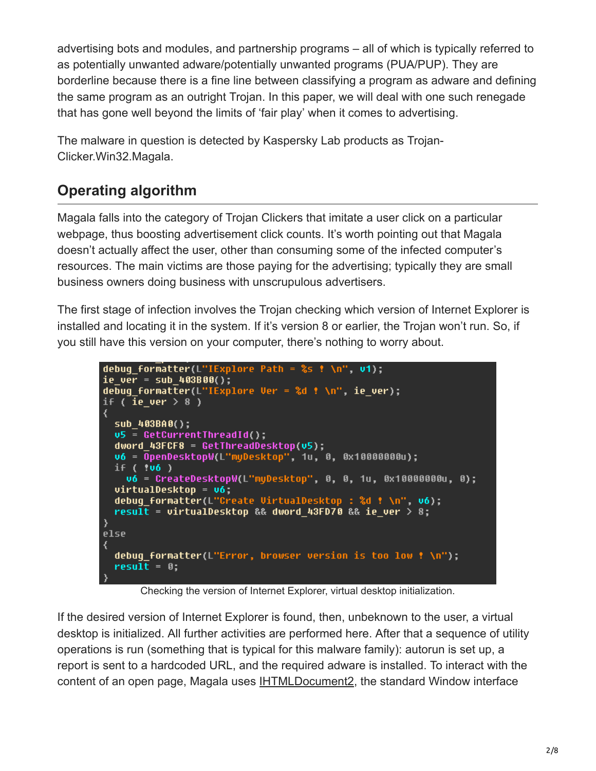advertising bots and modules, and partnership programs – all of which is typically referred to as potentially unwanted adware/potentially unwanted programs (PUA/PUP). They are borderline because there is a fine line between classifying a program as adware and defining the same program as an outright Trojan. In this paper, we will deal with one such renegade that has gone well beyond the limits of 'fair play' when it comes to advertising.

The malware in question is detected by Kaspersky Lab products as Trojan-Clicker.Win32.Magala.

## **Operating algorithm**

Magala falls into the category of Trojan Clickers that imitate a user click on a particular webpage, thus boosting advertisement click counts. It's worth pointing out that Magala doesn't actually affect the user, other than consuming some of the infected computer's resources. The main victims are those paying for the advertising; typically they are small business owners doing business with unscrupulous advertisers.

The first stage of infection involves the Trojan checking which version of Internet Explorer is installed and locating it in the system. If it's version 8 or earlier, the Trojan won't run. So, if you still have this version on your computer, there's nothing to worry about.

```
debug_formatter(L"IExplore Path = ss ! \n", v1);
ie_ver = sub_403B00();
debug formatter(L"IExplore Ver = %d ! \n", ie_ver);
if ( ie_ver > 8 )
₹
 sub_403BA0();
  \sqrt{5} = GetCurrentThreadId();
  dword 43FCF8 = GetThreeadDesktop(v5);u6 = OpenDesktopW(L"myDesktop", 1u, 0, 0x10000000u);
 if ( 06)v6 = CreateDesktopW(L"myDesktop", 0, 0, 1u, 0x10000000u, 0);
 virtualDesktop = v6debuq formatter(L"Create VirtualDesktop : %d ! \n", v6);
  result = virtualDesktop && dword_43FD70 && ie_ver > 8;
\}else
  debug_formatter(L"Error, browser version is too low ! \n");
  result = 0;
```
Checking the version of Internet Explorer, virtual desktop initialization.

If the desired version of Internet Explorer is found, then, unbeknown to the user, a virtual desktop is initialized. All further activities are performed here. After that a sequence of utility operations is run (something that is typical for this malware family): autorun is set up, a report is sent to a hardcoded URL, and the required adware is installed. To interact with the content of an open page, Magala uses [IHTMLDocument2,](https://docs.microsoft.com/en-us/previous-versions/windows/internet-explorer/ie-developer/platform-apis/aa752574(v=vs.85)) the standard Window interface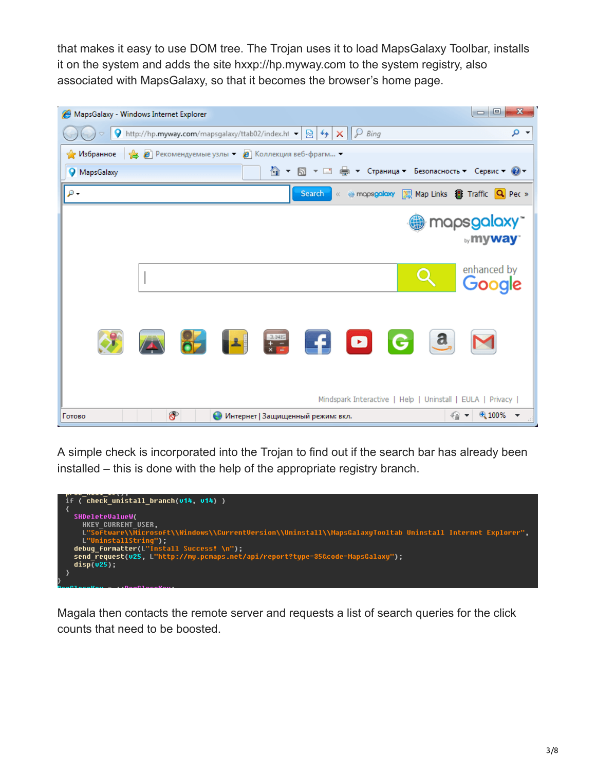that makes it easy to use DOM tree. The Trojan uses it to load MapsGalaxy Toolbar, installs it on the system and adds the site hxxp://hp.myway.com to the system registry, also associated with MapsGalaxy, so that it becomes the browser's home page.

|                                                                       | MapsGalaxy - Windows Internet Explorer                                                                | $\mathbf{x}$<br>▣<br>$\blacksquare$ |
|-----------------------------------------------------------------------|-------------------------------------------------------------------------------------------------------|-------------------------------------|
| 9                                                                     | $\left  \cdot \right $<br>http://hp.myway.com/mapsgalaxy/ttab02/index.ht -<br>$\wp$ Bing<br>図<br>×    | - م                                 |
| • В Рекомендуемые узлы • В Коллекция веб-фрагм •<br>√> Избранное      |                                                                                                       |                                     |
| 습 -<br>Ы ▼ □ — У Страница ▼ Безопасность ▼ Сервис ▼ © ▼<br>MapsGalaxy |                                                                                                       |                                     |
| ρ.                                                                    | « @ mopsgoloxy   图 Map Links 图 Traffic   Q Pec »<br>Search                                            |                                     |
|                                                                       |                                                                                                       | mapsgalaxy<br><b>by my way</b>      |
|                                                                       |                                                                                                       | enhanced by<br>Google               |
|                                                                       | HE FDGG<br>$\  \cdot \ $                                                                              |                                     |
|                                                                       | Mindspark Interactive   Help   Uninstall   EULA   Privacy                                             |                                     |
| Готово                                                                | ச<br>$\mathcal{L}_{\mathbf{B}}$<br>€<br>Интернет   Защищенный режим: вкл.<br>$\overline{\phantom{a}}$ | 4100%<br>$\overline{\mathbf{v}}$    |

A simple check is incorporated into the Trojan to find out if the search bar has already been installed – this is done with the help of the appropriate registry branch.



Magala then contacts the remote server and requests a list of search queries for the click counts that need to be boosted.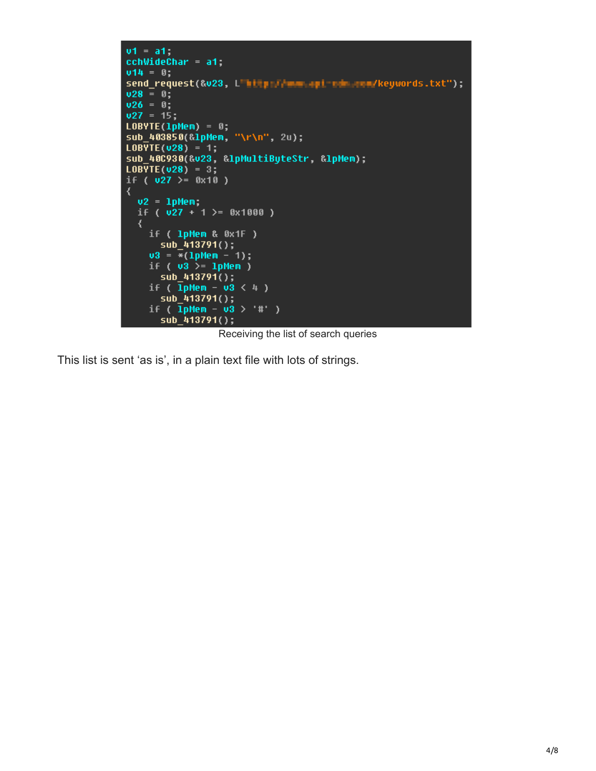```
u1 = a1;<br>cchWideChar = a1;
014 = 0;send_request(&v23, L'http://www.api-ndm.com/keywords.txt");
0.28 = 0;v26 = 0;
v27 = 15;
LOBVTE(1phem) = 0;sub_403850(&lpMem, "\r\n", 2u);
LOBYTE(u28) = 1;<br>sub_40C930(&u23, &lpMultiByteStr, &lpMem);
LOBVTE(v28) = 3;<br>if ( v27 >= 0x10 )
₹
  v2 = 1pMem
  if (\sqrt{27} + 1 >= 0x1000 )
  \langleif ( 1pMem & 0x1F )
       sub_413791();
     03 = \frac{1}{2} (1) = 1);
     if (v3) = 1pMem)
     sub_413791();<br>if ( IpMem - u3 < 4 )
     sub_413791();<br>if ( lpMem - u3 > '#' )
       sub_413791();
```
Receiving the list of search queries

This list is sent 'as is', in a plain text file with lots of strings.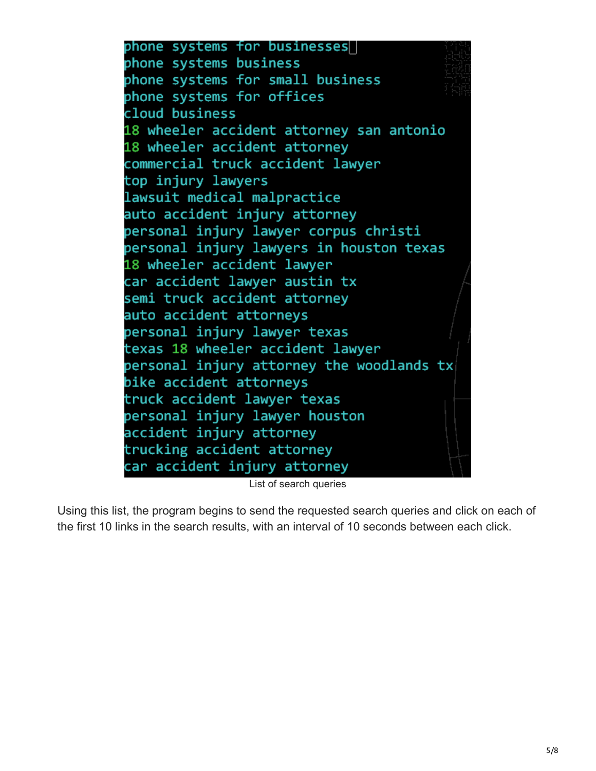phone systems for businesses phone systems business phone systems for small business phone systems for offices cloud business 18 wheeler accident attorney san antonio 18 wheeler accident attorney commercial truck accident lawyer top injury lawyers lawsuit medical malpractice auto accident injury attorney personal injury lawyer corpus christi personal injury lawyers in houston texas 18 wheeler accident lawyer car accident lawyer austin tx semi truck accident attorney auto accident attorneys personal injury lawyer texas texas 18 wheeler accident lawyer personal injury attorney the woodlands tx bike accident attorneys truck accident lawyer texas personal injury lawyer houston accident injury attorney trucking accident attorney car accident injury attorney

List of search queries

Using this list, the program begins to send the requested search queries and click on each of the first 10 links in the search results, with an interval of 10 seconds between each click.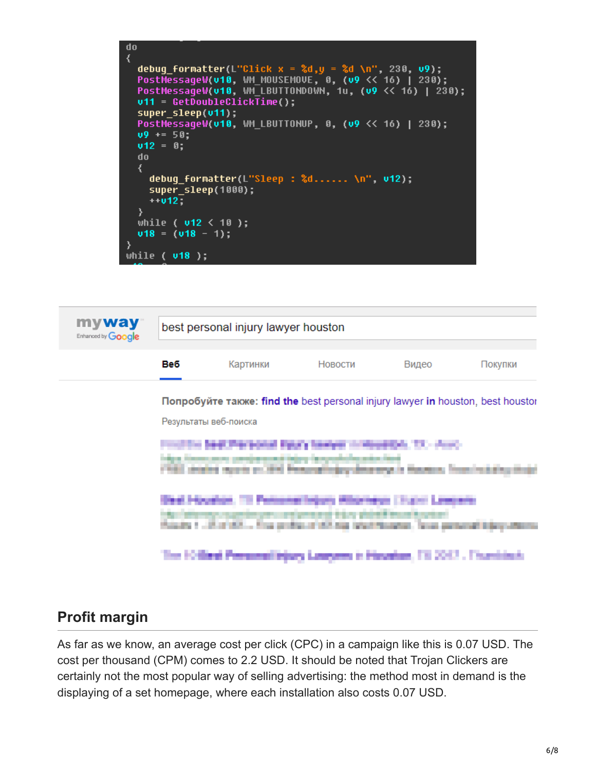



#### **Profit margin**

As far as we know, an average cost per click (CPC) in a campaign like this is 0.07 USD. The cost per thousand (CPM) comes to 2.2 USD. It should be noted that Trojan Clickers are certainly not the most popular way of selling advertising: the method most in demand is the displaying of a set homepage, where each installation also costs 0.07 USD.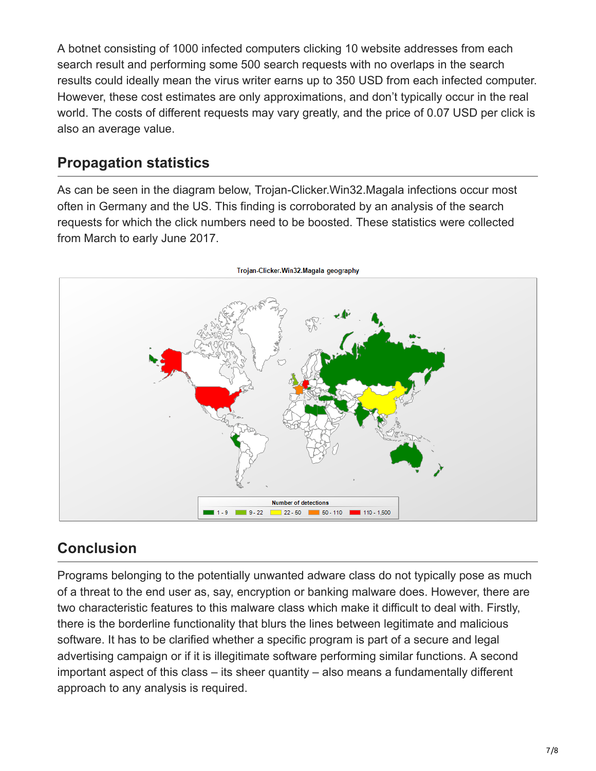A botnet consisting of 1000 infected computers clicking 10 website addresses from each search result and performing some 500 search requests with no overlaps in the search results could ideally mean the virus writer earns up to 350 USD from each infected computer. However, these cost estimates are only approximations, and don't typically occur in the real world. The costs of different requests may vary greatly, and the price of 0.07 USD per click is also an average value.

#### **Propagation statistics**

As can be seen in the diagram below, Trojan-Clicker.Win32.Magala infections occur most often in Germany and the US. This finding is corroborated by an analysis of the search requests for which the click numbers need to be boosted. These statistics were collected from March to early June 2017.



#### **Conclusion**

Programs belonging to the potentially unwanted adware class do not typically pose as much of a threat to the end user as, say, encryption or banking malware does. However, there are two characteristic features to this malware class which make it difficult to deal with. Firstly, there is the borderline functionality that blurs the lines between legitimate and malicious software. It has to be clarified whether a specific program is part of a secure and legal advertising campaign or if it is illegitimate software performing similar functions. A second important aspect of this class – its sheer quantity – also means a fundamentally different approach to any analysis is required.